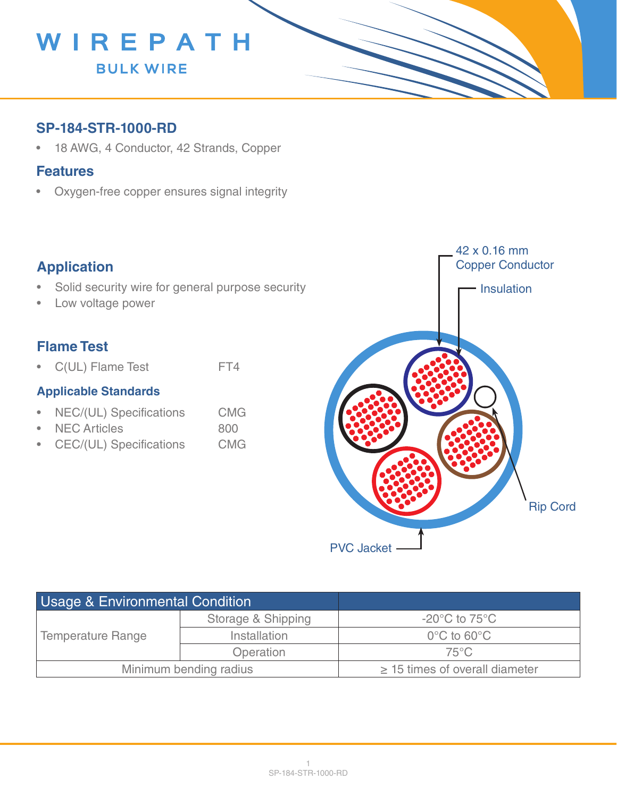

### **SP-184-STR-1000-RD**

• 18 AWG, 4 Conductor, 42 Strands, Copper

#### **Features**

• Oxygen-free copper ensures signal integrity

## **Application**

- Solid security wire for general purpose security
- Low voltage power

## **Flame Test**

• C(UL) Flame Test FT4

#### **Applicable Standards**

- NEC/(UL) Specifications CMG
- NEC Articles 800
- CEC/(UL) Specifications CMG



| <b>Usage &amp; Environmental Condition</b> |                    |                                     |
|--------------------------------------------|--------------------|-------------------------------------|
| <b>Temperature Range</b>                   | Storage & Shipping | $-20^{\circ}$ C to 75 $^{\circ}$ C  |
|                                            | Installation       | $0^{\circ}$ C to 60 $^{\circ}$ C    |
|                                            | Operation          | $75^{\circ}$ C                      |
| Minimum bending radius                     |                    | $\geq$ 15 times of overall diameter |